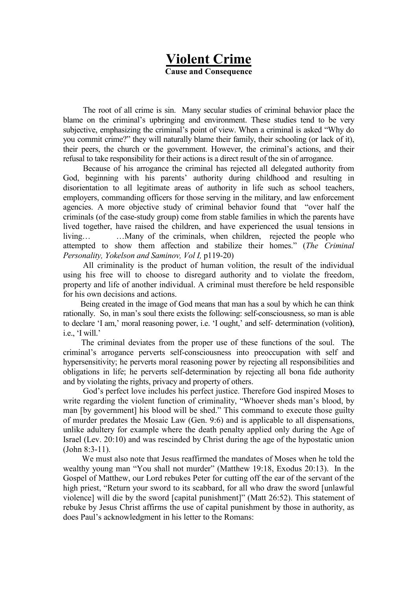## Violent Crime Cause and Consequence

The root of all crime is sin. Many secular studies of criminal behavior place the blame on the criminal's upbringing and environment. These studies tend to be very subjective, emphasizing the criminal's point of view. When a criminal is asked "Why do you commit crime?" they will naturally blame their family, their schooling (or lack of it), their peers, the church or the government. However, the criminal's actions, and their refusal to take responsibility for their actions is a direct result of the sin of arrogance.

Because of his arrogance the criminal has rejected all delegated authority from God, beginning with his parents' authority during childhood and resulting in disorientation to all legitimate areas of authority in life such as school teachers, employers, commanding officers for those serving in the military, and law enforcement agencies. A more objective study of criminal behavior found that "over half the criminals (of the case-study group) come from stable families in which the parents have lived together, have raised the children, and have experienced the usual tensions in living… …Many of the criminals, when children, rejected the people who attempted to show them affection and stabilize their homes." (The Criminal Personality, Yokelson and Saminov, Vol I, p119-20)

All criminality is the product of human volition, the result of the individual using his free will to choose to disregard authority and to violate the freedom, property and life of another individual. A criminal must therefore be held responsible for his own decisions and actions.

 Being created in the image of God means that man has a soul by which he can think rationally. So, in man's soul there exists the following: self-consciousness, so man is able to declare 'I am,' moral reasoning power, i.e. 'I ought,' and self- determination (volition), i.e., 'I will.'

 The criminal deviates from the proper use of these functions of the soul. The criminal's arrogance perverts self-consciousness into preoccupation with self and hypersensitivity; he perverts moral reasoning power by rejecting all responsibilities and obligations in life; he perverts self-determination by rejecting all bona fide authority and by violating the rights, privacy and property of others.

God's perfect love includes his perfect justice. Therefore God inspired Moses to write regarding the violent function of criminality, "Whoever sheds man's blood, by man [by government] his blood will be shed." This command to execute those guilty of murder predates the Mosaic Law (Gen. 9:6) and is applicable to all dispensations, unlike adultery for example where the death penalty applied only during the Age of Israel (Lev. 20:10) and was rescinded by Christ during the age of the hypostatic union (John 8:3-11).

 We must also note that Jesus reaffirmed the mandates of Moses when he told the wealthy young man "You shall not murder" (Matthew 19:18, Exodus 20:13). In the Gospel of Matthew, our Lord rebukes Peter for cutting off the ear of the servant of the high priest, "Return your sword to its scabbard, for all who draw the sword [unlawful] violence] will die by the sword [capital punishment]" (Matt 26:52). This statement of rebuke by Jesus Christ affirms the use of capital punishment by those in authority, as does Paul's acknowledgment in his letter to the Romans: